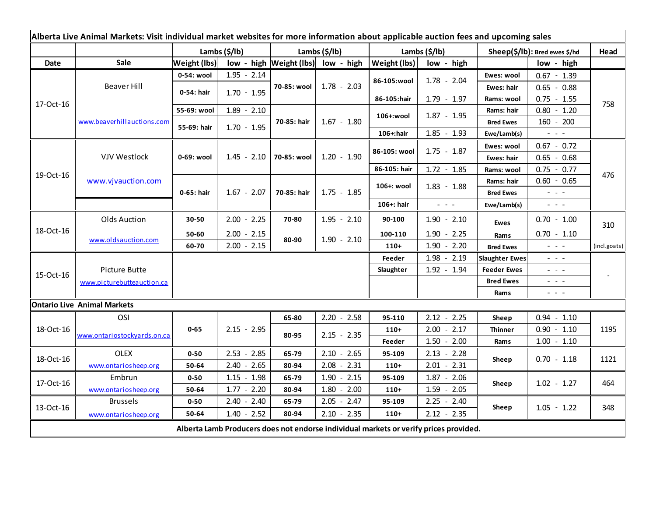| Alberta Live Animal Markets: Visit individual market websites for more information about applicable auction fees and upcoming sales |                             |                           |               |                           |                                        |                           |                                             |                               |                                                                                                                           |              |
|-------------------------------------------------------------------------------------------------------------------------------------|-----------------------------|---------------------------|---------------|---------------------------|----------------------------------------|---------------------------|---------------------------------------------|-------------------------------|---------------------------------------------------------------------------------------------------------------------------|--------------|
|                                                                                                                                     |                             | Lambs $(\frac{2}{3})$ lb) |               | Lambs $(\frac{2}{3})$ lb) |                                        | Lambs $(\frac{2}{3})$ lb) |                                             | Sheep(\$/lb): Bred ewes \$/hd |                                                                                                                           | Head         |
| Date                                                                                                                                | Sale                        | Weight (lbs)              |               |                           | low - high $ Weight (lbs) $ low - high | Weight (lbs)              | low - high                                  |                               | low - high                                                                                                                |              |
| 17-Oct-16                                                                                                                           | <b>Beaver Hill</b>          | 0-54: wool                | $1.95 - 2.14$ | 70-85: wool               | $1.78 - 2.03$                          | 86-105:wool               | $1.78 - 2.04$                               | Ewes: wool                    | $0.67 - 1.39$                                                                                                             |              |
|                                                                                                                                     |                             | 0-54: hair                | $1.70 - 1.95$ |                           |                                        |                           |                                             | Ewes: hair                    | $0.65 - 0.88$                                                                                                             |              |
|                                                                                                                                     |                             |                           |               |                           |                                        | 86-105:hair               | $1.79 - 1.97$                               | Rams: wool                    | $0.75 - 1.55$                                                                                                             | 758          |
|                                                                                                                                     | www.beaverhillauctions.com  | 55-69: wool               | $1.89 - 2.10$ | 70-85: hair               | $1.67 - 1.80$                          | 106+:wool                 | $1.87 - 1.95$                               | Rams: hair                    | $0.80 - 1.20$                                                                                                             |              |
|                                                                                                                                     |                             | 55-69: hair               | $1.70 - 1.95$ |                           |                                        |                           |                                             | <b>Bred Ewes</b>              | $160 - 200$                                                                                                               |              |
|                                                                                                                                     |                             |                           |               |                           |                                        | $106 +:$ hair             | $1.85 - 1.93$                               | Ewe/Lamb(s)                   | $\omega_{\rm{max}}$ and $\omega_{\rm{max}}$                                                                               |              |
| 19-Oct-16                                                                                                                           | <b>VJV Westlock</b>         | 0-69: wool                | $1.45 - 2.10$ | 70-85: wool               | $1.20 - 1.90$                          | 86-105: wool              | $1.75 - 1.87$                               | Ewes: wool                    | $0.67 - 0.72$                                                                                                             |              |
|                                                                                                                                     |                             |                           |               |                           |                                        |                           |                                             | Ewes: hair                    | $0.65 - 0.68$                                                                                                             |              |
|                                                                                                                                     | www.vjvauction.com          |                           |               |                           |                                        | 86-105: hair              | $1.72 - 1.85$                               | Rams: wool                    | $0.75 - 0.77$                                                                                                             | 476          |
|                                                                                                                                     |                             | 0-65: hair                | $1.67 - 2.07$ | 70-85: hair               | $1.75 - 1.85$                          | 106+: wool                | $1.83 - 1.88$                               | Rams: hair                    | $0.60 - 0.65$                                                                                                             |              |
|                                                                                                                                     |                             |                           |               |                           |                                        |                           |                                             | <b>Bred Ewes</b>              | $\frac{1}{2} \left( \frac{1}{2} \right) \left( \frac{1}{2} \right) = \frac{1}{2}$                                         |              |
|                                                                                                                                     |                             |                           |               |                           |                                        | 106+: hair                | $\omega_{\rm{eff}}$ and $\omega_{\rm{eff}}$ | Ewe/Lamb(s)                   | $\omega_{\rm{eff}}$ and $\omega_{\rm{eff}}$                                                                               |              |
| 18-Oct-16                                                                                                                           | <b>Olds Auction</b>         | 30-50                     | $2.00 - 2.25$ | 70-80                     | $1.95 - 2.10$                          | 90-100                    | $1.90 - 2.10$                               | <b>Ewes</b>                   | $0.70 - 1.00$                                                                                                             | 310          |
|                                                                                                                                     | www.oldsauction.com         | 50-60                     | $2.00 - 2.15$ | 80-90                     | $1.90 - 2.10$                          | 100-110                   | $1.90 - 2.25$                               | Rams                          | $0.70 - 1.10$                                                                                                             |              |
|                                                                                                                                     |                             | 60-70                     | $2.00 - 2.15$ |                           |                                        | $110+$                    | $1.90 - 2.20$                               | <b>Bred Ewes</b>              | $\omega_{\rm{max}}$ and $\omega_{\rm{max}}$                                                                               | (incl.goats) |
| 15-Oct-16                                                                                                                           |                             |                           |               |                           |                                        | Feeder                    | $1.98 - 2.19$                               | <b>Slaughter Ewes</b>         | $\frac{1}{2} \left( \frac{1}{2} \right) \left( \frac{1}{2} \right) \left( \frac{1}{2} \right) \left( \frac{1}{2} \right)$ |              |
|                                                                                                                                     | Picture Butte               |                           |               |                           |                                        | Slaughter                 | 1.92 - 1.94                                 | <b>Feeder Ewes</b>            | $\omega_{\rm{eff}}=0.1$                                                                                                   |              |
|                                                                                                                                     | www.picturebutteauction.ca  |                           |               |                           |                                        |                           |                                             | <b>Bred Ewes</b>              | $\frac{1}{2} \left( \frac{1}{2} \right) \frac{1}{2} \left( \frac{1}{2} \right) \frac{1}{2} \left( \frac{1}{2} \right)$    |              |
|                                                                                                                                     |                             |                           |               |                           |                                        |                           |                                             | Rams                          | $\frac{1}{2} \left( \frac{1}{2} \right) \left( \frac{1}{2} \right) \left( \frac{1}{2} \right) \left( \frac{1}{2} \right)$ |              |
| <b>Ontario Live Animal Markets</b>                                                                                                  |                             |                           |               |                           |                                        |                           |                                             |                               |                                                                                                                           |              |
| 18-Oct-16                                                                                                                           | OSI                         |                           |               | 65-80                     | $2.20 - 2.58$                          | 95-110                    | $2.12 - 2.25$                               | Sheep                         | $0.94 - 1.10$                                                                                                             |              |
|                                                                                                                                     | www.ontariostockyards.on.ca | $0 - 65$                  | $2.15 - 2.95$ | 80-95                     | $2.15 - 2.35$                          | $110+$                    | $2.00 - 2.17$                               | <b>Thinner</b>                | $0.90 - 1.10$                                                                                                             | 1195         |
|                                                                                                                                     |                             |                           |               |                           |                                        | Feeder                    | $1.50 - 2.00$                               | Rams                          | $1.00 - 1.10$                                                                                                             |              |
| 18-Oct-16                                                                                                                           | <b>OLEX</b>                 | $0 - 50$                  | $2.53 - 2.85$ | 65-79                     | $2.10 - 2.65$                          | 95-109                    | $2.13 - 2.28$                               | Sheep                         | $0.70 - 1.18$                                                                                                             |              |
|                                                                                                                                     | www.ontariosheep.org        | 50-64                     | $2.40 - 2.65$ | 80-94                     | $2.08 - 2.31$                          | $110+$                    | $2.01 - 2.31$                               |                               |                                                                                                                           | 1121         |
| 17-Oct-16                                                                                                                           | Embrun                      | $0 - 50$                  | $1.15 - 1.98$ | 65-79                     | $1.90 - 2.15$                          | 95-109                    | $1.87 - 2.06$                               | Sheep                         |                                                                                                                           |              |
|                                                                                                                                     | www.ontariosheep.org        | 50-64                     | $1.77 - 2.20$ | 80-94                     | $1.80 - 2.00$                          | $110+$                    | $1.59 - 2.05$                               |                               | $1.02 - 1.27$                                                                                                             | 464          |
| 13-Oct-16                                                                                                                           | <b>Brussels</b>             | $0 - 50$                  | $2.40 - 2.40$ | 65-79                     | $2.05 - 2.47$                          | 95-109                    | $2.25 - 2.40$                               | Sheep                         |                                                                                                                           |              |
|                                                                                                                                     | www.ontariosheep.org        | 50-64                     | $1.40 - 2.52$ | 80-94                     | $2.10 - 2.35$                          | $110+$                    | $2.12 - 2.35$                               |                               | $1.05 - 1.22$                                                                                                             | 348          |
| Alberta Lamb Producers does not endorse individual markets or verify prices provided.                                               |                             |                           |               |                           |                                        |                           |                                             |                               |                                                                                                                           |              |